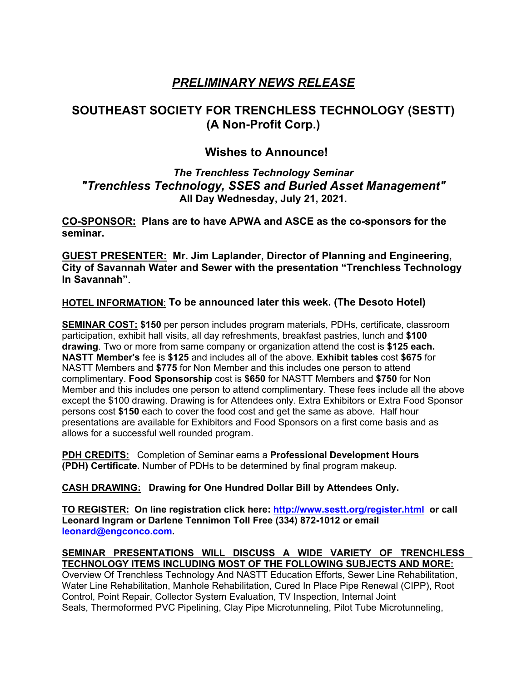# *PRELIMINARY NEWS RELEASE*

# **SOUTHEAST SOCIETY FOR TRENCHLESS TECHNOLOGY (SESTT) (A Non-Profit Corp.)**

## **Wishes to Announce!**

## *The Trenchless Technology Seminar "Trenchless Technology, SSES and Buried Asset Management"* **All Day Wednesday, July 21, 2021.**

**CO-SPONSOR: Plans are to have APWA and ASCE as the co-sponsors for the seminar.**

**GUEST PRESENTER: Mr. Jim Laplander, Director of Planning and Engineering, City of Savannah Water and Sewer with the presentation "Trenchless Technology In Savannah".**

### **HOTEL INFORMATION**: **To be announced later this week. (The Desoto Hotel)**

**SEMINAR COST: \$150** per person includes program materials, PDHs, certificate, classroom participation, exhibit hall visits, all day refreshments, breakfast pastries, lunch and **\$100 drawing**. Two or more from same company or organization attend the cost is **\$125 each. NASTT Member's** fee is **\$125** and includes all of the above. **Exhibit tables** cost **\$675** for NASTT Members and **\$775** for Non Member and this includes one person to attend complimentary. **Food Sponsorship** cost is **\$650** for NASTT Members and **\$750** for Non Member and this includes one person to attend complimentary. These fees include all the above except the \$100 drawing. Drawing is for Attendees only. Extra Exhibitors or Extra Food Sponsor persons cost **\$150** each to cover the food cost and get the same as above. Half hour presentations are available for Exhibitors and Food Sponsors on a first come basis and as allows for a successful well rounded program.

**PDH CREDITS:** Completion of Seminar earns a **Professional Development Hours (PDH) Certificate.** Number of PDHs to be determined by final program makeup.

 **CASH DRAWING: Drawing for One Hundred Dollar Bill by Attendees Only.**

**TO REGISTER: On line registration click here: http://www.sestt.org/register.html or call Leonard Ingram or Darlene Tennimon Toll Free (334) 872-1012 or email leonard@engconco.com. SEMINAR PRESENTATIONS WILL DISCUSS A WIDE VARIETY OF TRENCHLESS** 

# **TECHNOLOGY ITEMS INCLUDING MOST OF THE FOLLOWING SUBJECTS AND MORE:**

Overview Of Trenchless Technology And NASTT Education Efforts, Sewer Line Rehabilitation, Water Line Rehabilitation, Manhole Rehabilitation, Cured In Place Pipe Renewal (CIPP), Root Control, Point Repair, Collector System Evaluation, TV Inspection, Internal Joint Seals, Thermoformed PVC Pipelining, Clay Pipe Microtunneling, Pilot Tube Microtunneling,